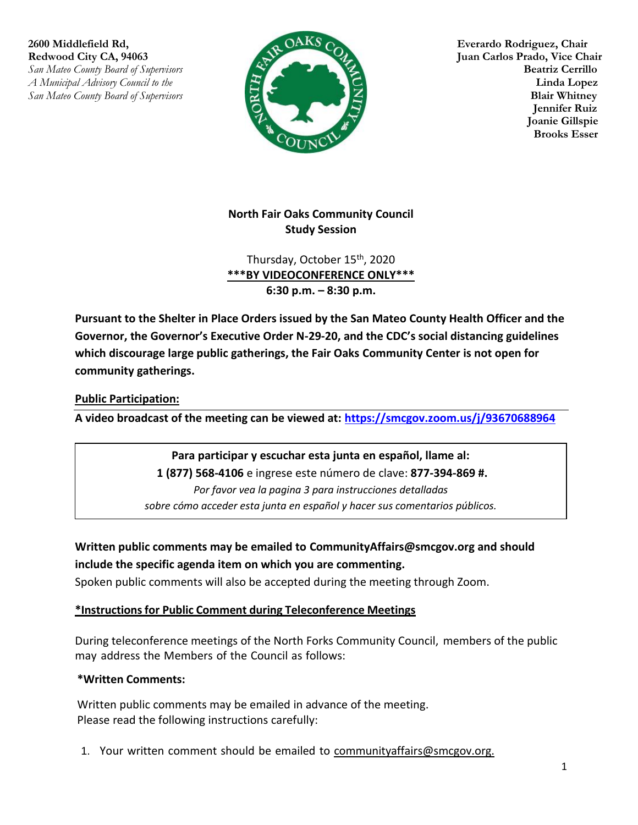*San Mateo County Board of Supervisors* **Beatriz Cerrillo**  *A Municipal Advisory Council to the* **Linda Lopez Linda Lopez Linda Lopez** *San Mateo County Board of Supervisors* **Blair Whitney**



Redwood City CA, 94063 **Juan Carlos Prado, Vice Chair Jennifer Ruiz Joanie Gillspie Brooks Esser**

# **North Fair Oaks Community Council Study Session**

Thursday, October 15<sup>th</sup>, 2020 **\*\*\*BY VIDEOCONFERENCE ONLY\*\*\* 6:30 p.m. – 8:30 p.m.**

**Pursuant to the Shelter in Place Orders issued by the San Mateo County Health Officer and the Governor, the Governor's Executive Order N-29-20, and the CDC's social distancing guidelines which discourage large public gatherings, the Fair Oaks Community Center is not open for community gatherings.**

## **Public Participation:**

**A video broadcast of the meeting can be viewed at: <https://smcgov.zoom.us/j/93670688964>**

**Para participar y escuchar esta junta en español, llame al: 1 (877) 568-4106** e ingrese este número de clave: **877-394-869 #.** *Por favor vea la pagina 3 para instrucciones detalladas sobre cómo acceder esta junta en español y hacer sus comentarios públicos.*

**Written public comments may be emailed to CommunityAffairs@smcgov.org and should include the specific agenda item on which you are commenting.** Spoken public comments will also be accepted during the meeting through Zoom.

# **\*Instructionsfor Public Comment during Teleconference Meetings**

During teleconference meetings of the North Forks Community Council, members of the public may address the Members of the Council as follows:

# **\*Written Comments:**

Written public comments may be emailed in advance of the meeting. Please read the following instructions carefully:

1. Your written comment should be emailed to [communityaffairs@smcgov.org.](mailto:communityaffairs@smcgov.org.)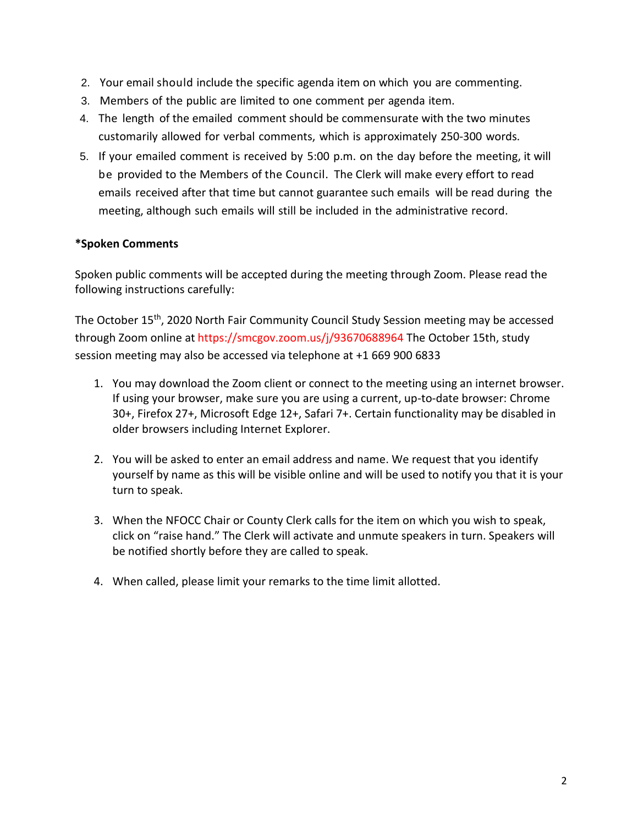- 2. Your email should include the specific agenda item on which you are commenting.
- 3. Members of the public are limited to one comment per agenda item.
- 4. The length of the emailed comment should be commensurate with the two minutes customarily allowed for verbal comments, which is approximately 250-300 words.
- 5. If your emailed comment is received by 5:00 p.m. on the day before the meeting, it will be provided to the Members of the Council. The Clerk will make every effort to read emails received after that time but cannot guarantee such emails will be read during the meeting, although such emails will still be included in the administrative record.

## **\*Spoken Comments**

Spoken public comments will be accepted during the meeting through Zoom. Please read the following instructions carefully:

The October 15th, 2020 North Fair Community Council Study Session meeting may be accessed through Zoom online at https://smcgov.zoom.us/j/93670688964 The October 15th, study session meeting may also be accessed via telephone at +1 669 900 6833

- 1. You may download the Zoom client or connect to the meeting using an internet browser. If using your browser, make sure you are using a current, up-to-date browser: Chrome 30+, Firefox 27+, Microsoft Edge 12+, Safari 7+. Certain functionality may be disabled in older browsers including Internet Explorer.
- 2. You will be asked to enter an email address and name. We request that you identify yourself by name as this will be visible online and will be used to notify you that it is your turn to speak.
- 3. When the NFOCC Chair or County Clerk calls for the item on which you wish to speak, click on "raise hand." The Clerk will activate and unmute speakers in turn. Speakers will be notified shortly before they are called to speak.
- 4. When called, please limit your remarks to the time limit allotted.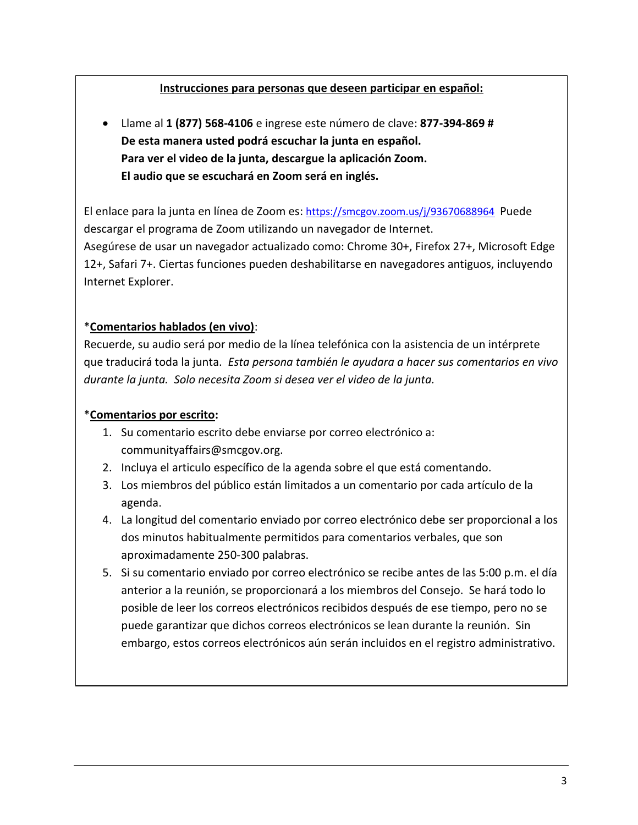#### **Instrucciones para personas que deseen participar en español:**

 Llame al **1 (877) 568-4106** e ingrese este número de clave: **877-394-869 # De esta manera usted podrá escuchar la junta en español. Para ver el video de la junta, descargue la aplicación Zoom. El audio que se escuchará en Zoom será en inglés.** 

El enlace para la junta en línea de Zoom es: <https://smcgov.zoom.us/j/93670688964>Puede descargar el programa de Zoom utilizando un navegador de Internet.

Asegúrese de usar un navegador actualizado como: Chrome 30+, Firefox 27+, Microsoft Edge 12+, Safari 7+. Ciertas funciones pueden deshabilitarse en navegadores antiguos, incluyendo Internet Explorer.

## \***Comentarios hablados (en vivo)**:

Recuerde, su audio será por medio de la línea telefónica con la asistencia de un intérprete que traducirá toda la junta. *Esta persona también le ayudara a hacer sus comentarios en vivo durante la junta. Solo necesita Zoom si desea ver el video de la junta.* 

#### \***Comentarios por escrito:**

- 1. Su comentario escrito debe enviarse por correo electrónico a: communityaffairs@smcgov.org.
- 2. Incluya el articulo específico de la agenda sobre el que está comentando.
- 3. Los miembros del público están limitados a un comentario por cada artículo de la agenda.
- 4. La longitud del comentario enviado por correo electrónico debe ser proporcional a los dos minutos habitualmente permitidos para comentarios verbales, que son aproximadamente 250-300 palabras.
- 5. Si su comentario enviado por correo electrónico se recibe antes de las 5:00 p.m. el día anterior a la reunión, se proporcionará a los miembros del Consejo. Se hará todo lo posible de leer los correos electrónicos recibidos después de ese tiempo, pero no se puede garantizar que dichos correos electrónicos se lean durante la reunión. Sin embargo, estos correos electrónicos aún serán incluidos en el registro administrativo.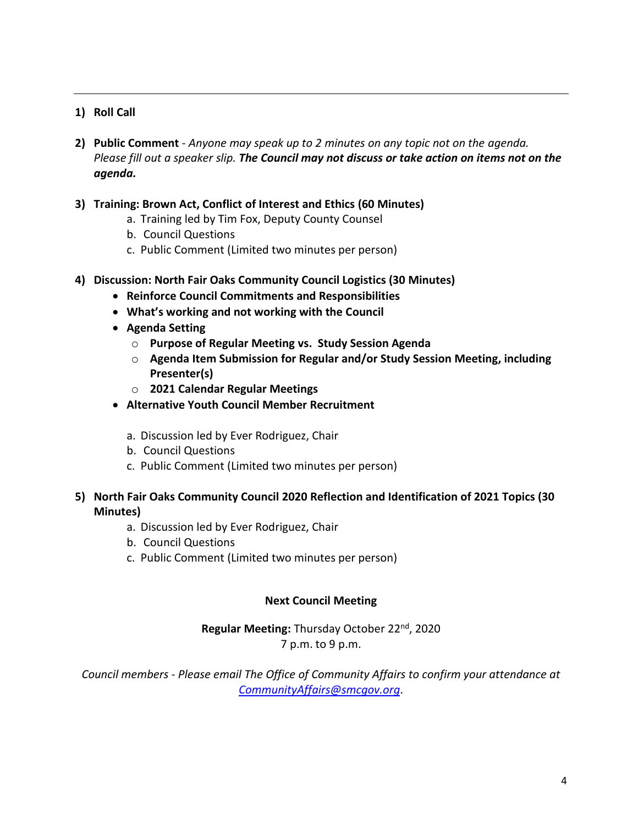#### **1) Roll Call**

- **2) Public Comment** *Anyone may speak up to 2 minutes on any topic not on the agenda. Please fill out a speaker slip. The Council may not discuss or take action on items not on the agenda.*
- **3) Training: Brown Act, Conflict of Interest and Ethics (60 Minutes)** 
	- a. Training led by Tim Fox, Deputy County Counsel
	- b. Council Questions
	- c. Public Comment (Limited two minutes per person)
- **4) Discussion: North Fair Oaks Community Council Logistics (30 Minutes)** 
	- **Reinforce Council Commitments and Responsibilities**
	- **What's working and not working with the Council**
	- **Agenda Setting** 
		- o **Purpose of Regular Meeting vs. Study Session Agenda**
		- o **Agenda Item Submission for Regular and/or Study Session Meeting, including Presenter(s)**
		- o **2021 Calendar Regular Meetings**
	- **Alternative Youth Council Member Recruitment** 
		- a. Discussion led by Ever Rodriguez, Chair
		- b. Council Questions
		- c. Public Comment (Limited two minutes per person)

#### **5) North Fair Oaks Community Council 2020 Reflection and Identification of 2021 Topics (30 Minutes)**

- a. Discussion led by Ever Rodriguez, Chair
- b. Council Questions
- c. Public Comment (Limited two minutes per person)

#### **Next Council Meeting**

**Regular Meeting:** Thursday October 22nd, 2020 7 p.m. to 9 p.m.

*Council members - Please email The Office of Community Affairs to confirm your attendance at [CommunityAffairs@smcgov.org](mailto:CommunityAffairs@smcgov.org)*.